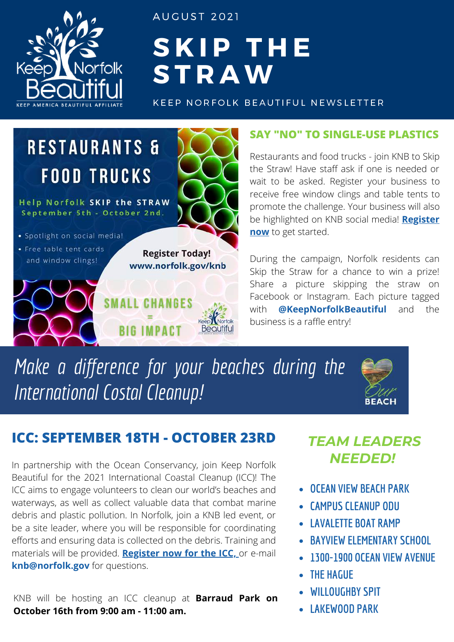

A U G U S T 2 0 2 1

## **S K I P T H E S T R A W**

KEEP NORFOLK BEAUTIFUL NEWSLETTER

### **RESTAURANTS & FOOD TRUCKS**

**Help Norfolk SKIP the STRAW** September 5th - October 2nd.

- · Spotlight on social media!
- Free table tent cards and window clings!



CHANGES

**IMPACT** 

#### **SAY "NO" TO SINGLE-USE PLASTICS**

Restaurants and food trucks - join KNB to Skip the Straw! Have staff ask if one is needed or wait to be asked. Register your business to receive free window clings and table tents to promote the challenge. Your business will also [be highlighted on KNB social media!](https://www.norfolk.gov/FormCenter/Keep-Norfolk-Beautiful-35/Skip-the-Straw-Business-Registration-620) **Register now** to get started.

During the campaign, Norfolk residents can Skip the Straw for a chance to win a prize! Share a picture skipping the straw on Facebook or Instagram. Each picture tagged with **@KeepNorfolkBeautiful** and the business is a raffle entry!

*Make a difference for your beaches during the International Costal Cleanup!*



#### **ICC: SEPTEMBER 18TH - OCTOBER 23RD** *TEAM LEADERS*

In partnership with the Ocean Conservancy, join Keep Norfolk Beautiful for the 2021 International Coastal Cleanup (ICC)! The ICC aims to engage volunteers to clean our world's beaches and waterways, as well as collect valuable data that combat marine debris and plastic pollution. In Norfolk, join a KNB led event, or be a site leader, where you will be responsible for coordinating efforts and ensuring data is collected on the debris. Training and materials will be provided. **[Register now for the ICC,](https://www.norfolk.gov/FormCenter/Keep-Norfolk-Beautiful-35/International-Coastal-Cleanup-Volunteer--639)** or e-mail **knb@norfolk.gov** for questions.

KNB will be hosting an ICC cleanup at **Barraud Park on October 16th from 9:00 am - 11:00 am.**

# *NEEDED!*

- **OCEAN VIEW BEACH PARK**
- **CAMPUS CLEANUP ODU**
- **LAVALETTE BOAT RAMP**
- **BAYVIEW ELEMENTARY SCHOOL**
- **1300-1900 OCEAN VIEW AVENUE**
- **THE HAGUE**
- **WILLOUGHBY SPIT**
- **LAKEWOOD PARK**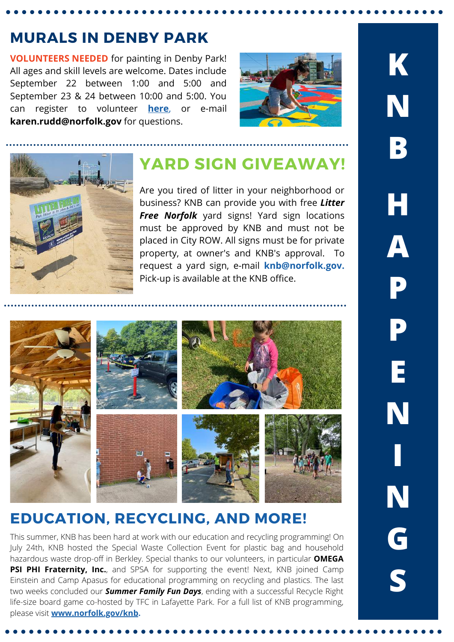#### **MURALS IN DENBY PARK**

**VOLUNTEERS NEEDED** for painting in Denby Park! All ages and skill levels are welcome. Dates include September 22 between 1:00 and 5:00 and September 23 & 24 between 10:00 and 5:00. You can register to volunteer **[here](https://www.signupgenius.com/go/10c094baaab2ea0ff2-volunteer1)**, or e-mail **karen.rudd@norfolk.gov** for questions.





#### **YARD SIGN GIVEAWAY!**

Are you tired of litter in your neighborhood or business? KNB can provide you with free *Litter Free Norfolk* yard signs! Yard sign locations must be approved by KNB and must not be placed in City ROW. All signs must be for private property, at owner's and KNB's approval. To request a yard sign, e-mail **knb@norfolk.gov.** Pick-up is available at the KNB office.



#### **EDUCATION, RECYCLING, AND MORE!**

This summer, KNB has been hard at work with our education and recycling programming! On July 24th, KNB hosted the Special Waste Collection Event for plastic bag and household hazardous waste drop-off in Berkley. Special thanks to our volunteers, in particular **OMEGA PSI PHI Fraternity, Inc.**, and SPSA for supporting the event! Next, KNB joined Camp Einstein and Camp Apasus for educational programming on recycling and plastics. The last two weeks concluded our *Summer Family Fun Days*, ending with a successful Recycle Right life-size board game co-hosted by TFC in Lafayette Park. For a full list of KNB programming, please visit **[www.norfolk.gov/knb](https://www.norfolk.gov/2376/Keep-Norfolk-Beautiful).**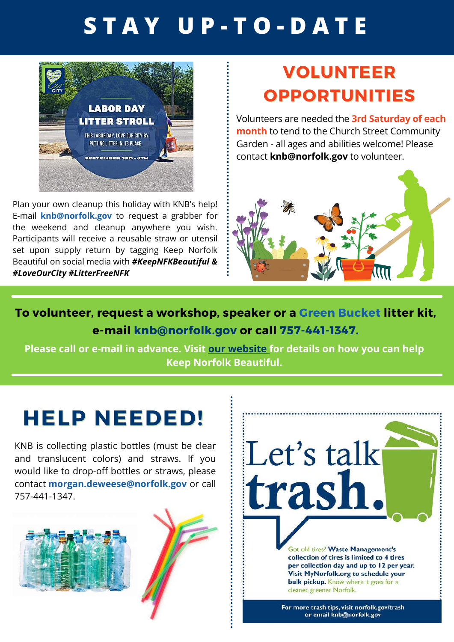## **S T A Y U P - T O - D A T E**



Plan your own cleanup this holiday with KNB's help! E-mail **knb@norfolk.gov** to request a grabber for the weekend and cleanup anywhere you wish. Participants will receive a reusable straw or utensil set upon supply return by tagging Keep Norfolk Beautiful on social media with *#KeepNFKBeautiful & #LoveOurCity #LitterFreeNFK*

### **VOLUNTEER OPPORTUNITIES**

Volunteers are needed the **3rd Saturday of each month** to tend to the Church Street Community Garden - all ages and abilities welcome! Please contact **knb@norfolk.gov** to volunteer.



**To volunteer, request a workshop, speaker or a Green Bucket litter kit, e-mail knb@norfolk.gov or call 757-441-1347.**

**Please call or e-mail in advance. Visit our [website](https://www.norfolk.gov/2376/Keep-Norfolk-Beautiful) for details on how you can help Keep Norfolk Beautiful.**

### **HELP NEEDED!**

KNB is collecting plastic bottles (must be clear and translucent colors) and straws. If you would like to drop-off bottles or straws, please contact **morgan.deweese@norfolk.gov** or call 757-441-1347.







For more trash tips, visit norfolk.gov/trash or email knb@norfolk.gov